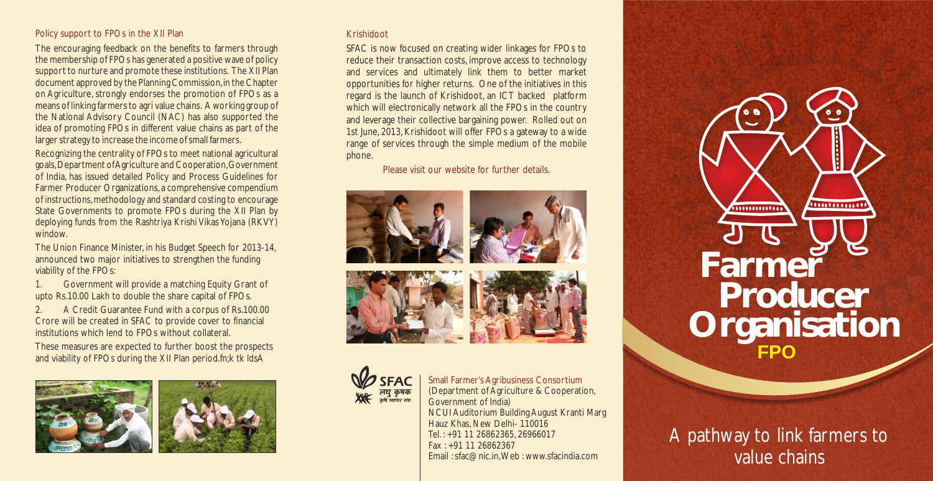## Policy support to FPOs in the XII Plan

The encouraging feedback on the benefits to farmers through the membership of FPOs has generated a positive wave of policy support to nurture and promote these institutions. The XII Plan document approved by the Planning Commission,in the Chapter on Agriculture, strongly endorses the promotion of FPOs as a means of linking farmers to agri value chains. A working group of the National Advisory Council (NAC) has also supported the idea of promoting FPOs in different value chains as part of the larger strategy to increase the income of small farmers.

Recognizing the centrality of FPOs to meet national agricultural goals,Department of Agriculture and Cooperation,Government of India, has issued detailed Policy and Process Guidelines for Farmer Producer Organizations, a comprehensive compendium of instructions,methodology and standard costing to encourage State Governments to promote FPOs during the XII Plan by deploying funds from the Rashtriya Krishi Vikas Yojana (RKVY) window.

The Union Finance Minister, in his Budget Speech for 2013-14, announced two major initiatives to strengthen the funding viability of the FPOs:

1. Government will provide a matching Equity Grant of upto Rs.10.00 Lakh to double the share capital of FPOs.

# 00000000000000 10000000000000 **Farmer Producer Organisation FPO**

2. A Credit Guarantee Fund with a corpus of Rs.100.00 Crore will be created in SFAC to provide cover to financial institutions which lend to FPOs without collateral.

These measures are expected to further boost the prospects and viability of FPOs during the XII Plan period.fn;k tk ldsA





# Krishidoot

SFAC is now focused on creating wider linkages for FPOs to reduce their transaction costs, improve access to technology and services and ultimately link them to better market opportunities for higher returns. One of the initiatives in this regard is the launch of Krishidoot, an ICT backed platform which will electronically network all the FPOs in the country and leverage their collective bargaining power. Rolled out on 1st June, 2013, Krishidoot will offer FPOs a gateway to a wide range of services through the simple medium of the mobile phone.

Please visit our website for further details.





Small Farmer's Agribusiness Consortium (Department of Agriculture & Cooperation, Government of India) NCUI Auditorium Building August Kranti Marg Hauz Khas, New Delhi- 110016 Tel. : +91 11 26862365, 26966017 Fax : +91 11 26862367 Email : sfac@nic.in,Web : www.sfacindia.com

A pathway to link farmers to value chains